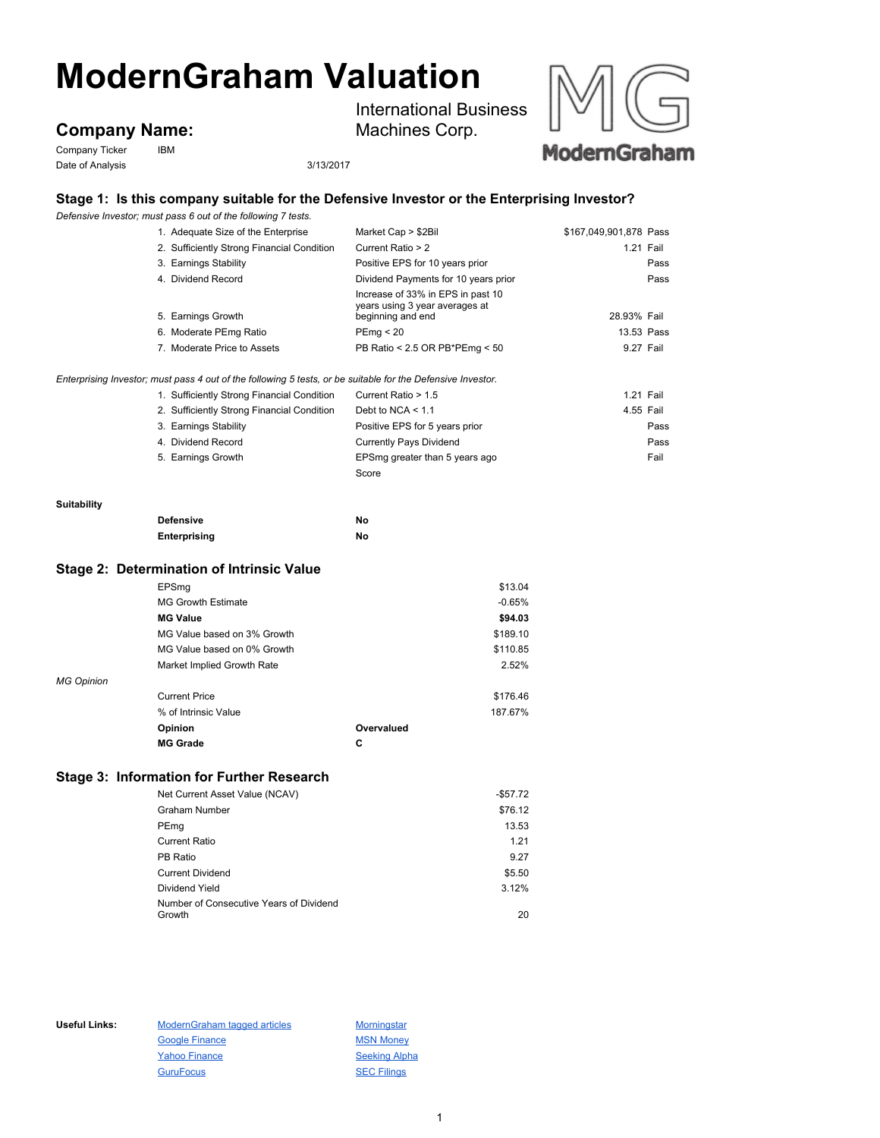# **ModernGraham Valuation**

## **Company Name:**

Company Ticker IBM Date of Analysis 3/13/2017

International Business Machines Corp.





### **Stage 1: Is this company suitable for the Defensive Investor or the Enterprising Investor?**

*Defensive Investor; must pass 6 out of the following 7 tests.*

| 1. Adequate Size of the Enterprise                                                                          | Market Cap > \$2Bil                                                                                         | \$167,049,901,878 Pass |      |
|-------------------------------------------------------------------------------------------------------------|-------------------------------------------------------------------------------------------------------------|------------------------|------|
| 2. Sufficiently Strong Financial Condition                                                                  | Current Ratio > 2                                                                                           | 1.21 Fail              |      |
| 3. Earnings Stability                                                                                       | Positive EPS for 10 years prior                                                                             |                        | Pass |
| 4. Dividend Record                                                                                          | Dividend Payments for 10 years prior<br>Increase of 33% in EPS in past 10<br>years using 3 year averages at |                        | Pass |
| 5. Earnings Growth                                                                                          | beginning and end                                                                                           | 28.93% Fail            |      |
| 6. Moderate PEmg Ratio                                                                                      | PEmq < 20                                                                                                   | 13.53 Pass             |      |
| 7. Moderate Price to Assets                                                                                 | PB Ratio < 2.5 OR PB*PEmg < $50$                                                                            | 9.27 Fail              |      |
| Enterprising Investor; must pass 4 out of the following 5 tests, or be suitable for the Defensive Investor. |                                                                                                             |                        |      |
| 1. Sufficiently Strong Financial Condition                                                                  | Current Ratio > 1.5                                                                                         | 1.21 Fail              |      |
| 2. Sufficiently Strong Financial Condition                                                                  | Debt to NCA $\leq 1.1$                                                                                      | 4.55 Fail              |      |
| 3. Earnings Stability                                                                                       | Positive EPS for 5 years prior                                                                              |                        | Pass |
| 4. Dividend Record                                                                                          | <b>Currently Pays Dividend</b>                                                                              |                        | Pass |
| 5. Earnings Growth                                                                                          | EPSmg greater than 5 years ago<br>Score                                                                     |                        | Fail |
|                                                                                                             |                                                                                                             |                        |      |

#### **Suitability**

| <b>Defensive</b> | No |
|------------------|----|
| Enterprising     | No |

#### **Stage 2: Determination of Intrinsic Value**

|                   | EPSmg                       |            | \$13.04  |
|-------------------|-----------------------------|------------|----------|
|                   | <b>MG Growth Estimate</b>   |            | $-0.65%$ |
|                   | <b>MG Value</b>             |            | \$94.03  |
|                   | MG Value based on 3% Growth |            | \$189.10 |
|                   | MG Value based on 0% Growth |            | \$110.85 |
|                   | Market Implied Growth Rate  |            | 2.52%    |
| <b>MG Opinion</b> |                             |            |          |
|                   | <b>Current Price</b>        |            | \$176.46 |
|                   | % of Intrinsic Value        |            | 187.67%  |
|                   | Opinion                     | Overvalued |          |
|                   | <b>MG Grade</b>             | C          |          |

#### **Stage 3: Information for Further Research**

| Net Current Asset Value (NCAV)                    | $-$57.72$ |
|---------------------------------------------------|-----------|
| Graham Number                                     | \$76.12   |
| PEmg                                              | 13.53     |
| Current Ratio                                     | 1.21      |
| PB Ratio                                          | 9.27      |
| <b>Current Dividend</b>                           | \$5.50    |
| Dividend Yield                                    | 3.12%     |
| Number of Consecutive Years of Dividend<br>Growth | 20        |

| Useful Links: | Modern Graham tagged articles | Morningstar          |
|---------------|-------------------------------|----------------------|
|               | <b>Google Finance</b>         | <b>MSN Money</b>     |
|               | <b>Yahoo Finance</b>          | <b>Seeking Alpha</b> |
|               | <b>GuruFocus</b>              | <b>SEC Filings</b>   |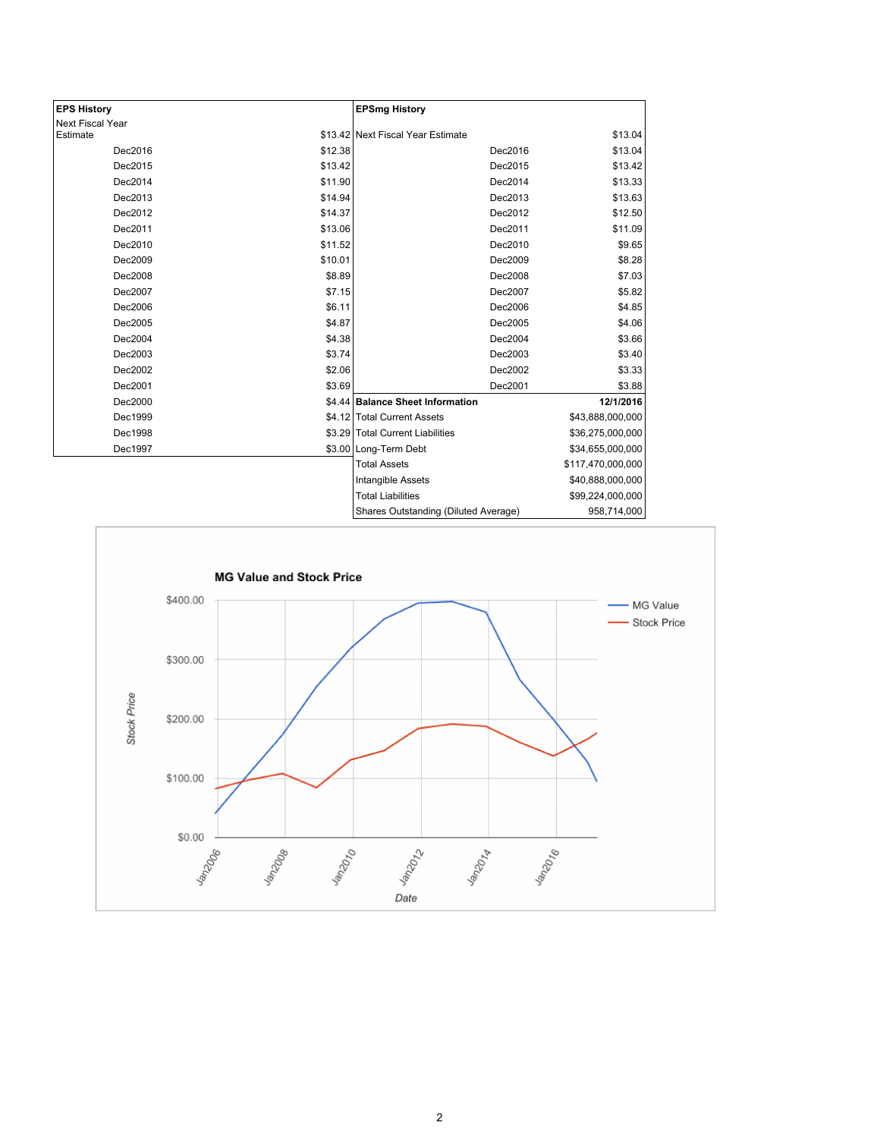| <b>EPS History</b> |         | <b>EPSmg History</b>                 |                   |
|--------------------|---------|--------------------------------------|-------------------|
| Next Fiscal Year   |         |                                      |                   |
| Estimate           |         | \$13.42 Next Fiscal Year Estimate    | \$13.04           |
| Dec2016            | \$12.38 | Dec2016                              | \$13.04           |
| Dec2015            | \$13.42 | Dec2015                              | \$13.42           |
| Dec2014            | \$11.90 | Dec2014                              | \$13.33           |
| Dec2013            | \$14.94 | Dec2013                              | \$13.63           |
| Dec2012            | \$14.37 | Dec2012                              | \$12.50           |
| Dec2011            | \$13.06 | Dec2011                              | \$11.09           |
| Dec2010            | \$11.52 | Dec2010                              | \$9.65            |
| Dec2009            | \$10.01 | Dec2009                              | \$8.28            |
| Dec2008            | \$8.89  | Dec2008                              | \$7.03            |
| Dec2007            | \$7.15  | Dec2007                              | \$5.82            |
| Dec2006            | \$6.11  | Dec2006                              | \$4.85            |
| Dec2005            | \$4.87  | Dec2005                              | \$4.06            |
| Dec2004            | \$4.38  | Dec2004                              | \$3.66            |
| Dec2003            | \$3.74  | Dec2003                              | \$3.40            |
| Dec2002            | \$2.06  | Dec2002                              | \$3.33            |
| Dec2001            | \$3.69  | Dec2001                              | \$3.88            |
| Dec2000            |         | \$4.44 Balance Sheet Information     | 12/1/2016         |
| Dec1999            |         | \$4.12 Total Current Assets          | \$43,888,000,000  |
| Dec1998            |         | \$3.29 Total Current Liabilities     | \$36,275,000,000  |
| Dec1997            |         | \$3.00 Long-Term Debt                | \$34,655,000,000  |
|                    |         | <b>Total Assets</b>                  | \$117,470,000,000 |
|                    |         | Intangible Assets                    | \$40,888,000,000  |
|                    |         | <b>Total Liabilities</b>             | \$99,224,000,000  |
|                    |         | Shares Outstanding (Diluted Average) | 958,714,000       |